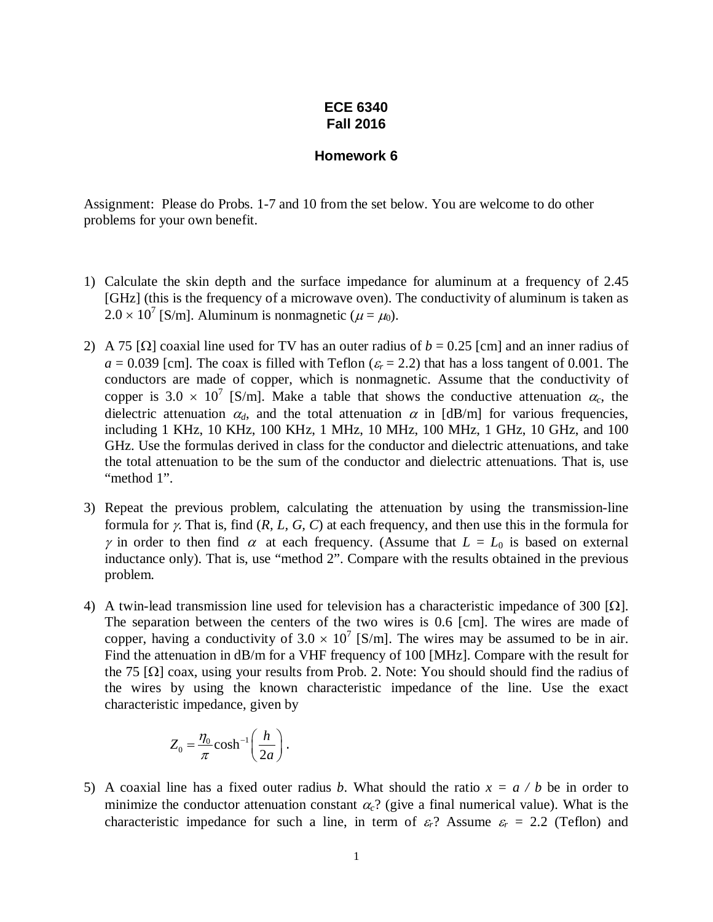## **ECE 6340 Fall 2016**

## **Homework 6**

Assignment: Please do Probs. 1-7 and 10 from the set below. You are welcome to do other problems for your own benefit.

- 1) Calculate the skin depth and the surface impedance for aluminum at a frequency of 2.45 [GHz] (this is the frequency of a microwave oven). The conductivity of aluminum is taken as  $2.0 \times 10^7$  [S/m]. Aluminum is nonmagnetic ( $\mu = \mu_0$ ).
- 2) A 75 [ $\Omega$ ] coaxial line used for TV has an outer radius of *b* = 0.25 [cm] and an inner radius of  $a = 0.039$  [cm]. The coax is filled with Teflon ( $\varepsilon_r = 2.2$ ) that has a loss tangent of 0.001. The conductors are made of copper, which is nonmagnetic. Assume that the conductivity of copper is 3.0  $\times$  10<sup>7</sup> [S/m]. Make a table that shows the conductive attenuation  $\alpha_c$ , the dielectric attenuation  $\alpha_d$ , and the total attenuation  $\alpha$  in [dB/m] for various frequencies, including 1 KHz, 10 KHz, 100 KHz, 1 MHz, 10 MHz, 100 MHz, 1 GHz, 10 GHz, and 100 GHz. Use the formulas derived in class for the conductor and dielectric attenuations, and take the total attenuation to be the sum of the conductor and dielectric attenuations. That is, use "method 1".
- 3) Repeat the previous problem, calculating the attenuation by using the transmission-line formula for <sup>γ</sup>. That is, find (*R, L, G, C*) at each frequency, and then use this in the formula for  $\gamma$  in order to then find  $\alpha$  at each frequency. (Assume that  $L = L_0$  is based on external inductance only). That is, use "method 2". Compare with the results obtained in the previous problem.
- 4) A twin-lead transmission line used for television has a characteristic impedance of 300 [ $\Omega$ ]. The separation between the centers of the two wires is 0.6 [cm]. The wires are made of copper, having a conductivity of  $3.0 \times 10^7$  [S/m]. The wires may be assumed to be in air. Find the attenuation in dB/m for a VHF frequency of 100 [MHz]. Compare with the result for the 75  $[\Omega]$  coax, using your results from Prob. 2. Note: You should should find the radius of the wires by using the known characteristic impedance of the line. Use the exact characteristic impedance, given by

$$
Z_0 = \frac{\eta_0}{\pi} \cosh^{-1} \left( \frac{h}{2a} \right).
$$

5) A coaxial line has a fixed outer radius *b*. What should the ratio  $x = a/b$  be in order to minimize the conductor attenuation constant  $\alpha_c$ ? (give a final numerical value). What is the characteristic impedance for such a line, in term of  $\varepsilon_r$ ? Assume  $\varepsilon_r = 2.2$  (Teflon) and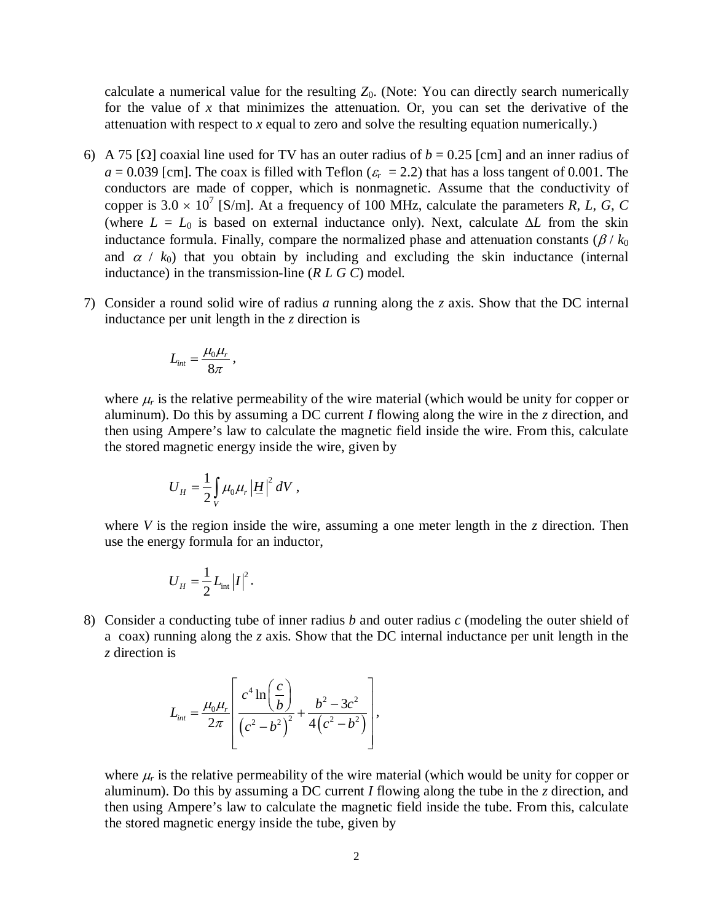calculate a numerical value for the resulting  $Z_0$ . (Note: You can directly search numerically for the value of *x* that minimizes the attenuation. Or, you can set the derivative of the attenuation with respect to *x* equal to zero and solve the resulting equation numerically.)

- 6) A 75 [ $\Omega$ ] coaxial line used for TV has an outer radius of *b* = 0.25 [cm] and an inner radius of  $a = 0.039$  [cm]. The coax is filled with Teflon ( $\varepsilon_r = 2.2$ ) that has a loss tangent of 0.001. The conductors are made of copper, which is nonmagnetic. Assume that the conductivity of copper is  $3.0 \times 10^7$  [S/m]. At a frequency of 100 MHz, calculate the parameters *R*, *L*, *G*, *C* (where  $L = L_0$  is based on external inductance only). Next, calculate  $\Delta L$  from the skin inductance formula. Finally, compare the normalized phase and attenuation constants ( $\beta / k_0$ ) and  $\alpha$  /  $k_0$ ) that you obtain by including and excluding the skin inductance (internal inductance) in the transmission-line (*R L G C*) model.
- 7) Consider a round solid wire of radius *a* running along the *z* axis. Show that the DC internal inductance per unit length in the *z* direction is

$$
L_{int} = \frac{\mu_0 \mu_r}{8\pi},
$$

where  $\mu_r$  is the relative permeability of the wire material (which would be unity for copper or aluminum). Do this by assuming a DC current *I* flowing along the wire in the *z* direction, and then using Ampere's law to calculate the magnetic field inside the wire. From this, calculate the stored magnetic energy inside the wire, given by

$$
U_H = \frac{1}{2} \int_V \mu_0 \mu_r \left| \underline{H} \right|^2 dV,
$$

where *V* is the region inside the wire, assuming a one meter length in the *z* direction. Then use the energy formula for an inductor,

$$
U_H = \frac{1}{2} L_{\text{int}} |I|^2.
$$

8) Consider a conducting tube of inner radius *b* and outer radius *c* (modeling the outer shield of a coax) running along the *z* axis. Show that the DC internal inductance per unit length in the *z* direction is

$$
L_{int} = \frac{\mu_0 \mu_r}{2\pi} \left[ \frac{c^4 \ln\left(\frac{c}{b}\right)}{\left(c^2 - b^2\right)^2} + \frac{b^2 - 3c^2}{4\left(c^2 - b^2\right)} \right],
$$

where  $\mu_r$  is the relative permeability of the wire material (which would be unity for copper or aluminum). Do this by assuming a DC current *I* flowing along the tube in the *z* direction, and then using Ampere's law to calculate the magnetic field inside the tube. From this, calculate the stored magnetic energy inside the tube, given by